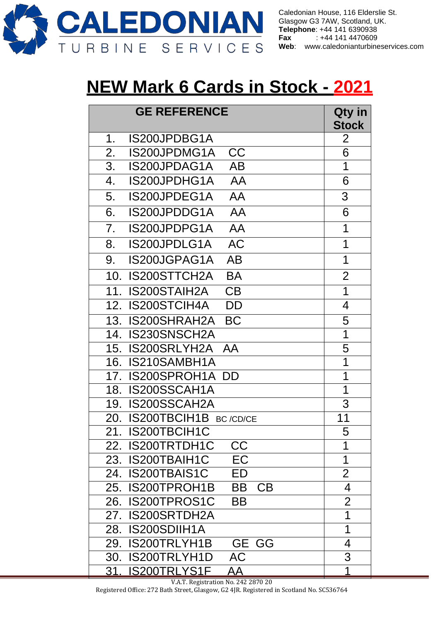

Caledonian House, 116 Elderslie St. Glasgow G3 7AW, Scotland, UK. **Telephone: +44 141 6390938<br><b>Fax** : +44 141 4470609 **Fax** : +44 141 4470609 **Web**: [www.caledonianturbineservices.com](http://www.caledonianturbineservices.com/)

## **NEW Mark 6 Cards in Stock - 2021**

| <b>GE REFERENCE</b>              | Qty in<br><b>Stock</b> |
|----------------------------------|------------------------|
| IS200JPDBG1A<br>1.               | $\overline{2}$         |
| <b>CC</b><br>2.<br>IS200JPDMG1A  | 6                      |
| 3.<br>IS200JPDAG1A<br>AB         | 1                      |
| IS200JPDHG1A<br>AA<br>4.         | 6                      |
| IS200JPDEG1A<br>5.<br>AA         | 3                      |
| 6.<br>IS200JPDDG1A<br>AA         | 6                      |
| 7.<br>IS200JPDPG1A<br>AA         | 1                      |
| <b>AC</b><br>IS200JPDLG1A<br>8.  | 1                      |
| IS200JGPAG1A<br><b>AB</b><br>9.  | 1                      |
| IS200STTCH2A<br><b>BA</b><br>10. | $\overline{2}$         |
| <b>IS200STAIH2A</b><br>CB<br>11. | 1                      |
| IS200STCIH4A<br>12.<br>DD        | 4                      |
| 13. IS200SHRAH2A<br><b>BC</b>    | 5                      |
| 14. IS230SNSCH2A                 | 1                      |
| 15. IS200SRLYH2A AA              | 5                      |
| IS210SAMBH1A<br>16.              | 1                      |
| <b>IS200SPROH1A DD</b><br>17.    | 1                      |
| IS200SSCAH1A<br>18.              | 1                      |
| IS200SSCAH2A<br>19.              | 3                      |
| IS200TBCIH1B BC/CD/CE<br>20.     | 11                     |
| IS200TBCIH1C<br>21.              | 5                      |
| 22. IS200TRTDH1C<br><b>CC</b>    | 1                      |
| 23. IS200TBAIH1C<br>EC           | 1                      |
| 24. IS200TBAIS1C<br>ED           | $\overline{2}$         |
| 25. IS200TPROH1B<br>BB<br>CB     | 4                      |
| 26. IS200TPROS1C<br>BB           | $\overline{2}$         |
| 27. IS200SRTDH2A                 | 1                      |
| 28. IS200SDIIH1A                 | 1                      |
| 29. IS200TRLYH1B<br>GE GG        | 4                      |
| 30. IS200TRLYH1D<br><b>AC</b>    | 3                      |
| 31. IS200TRLYS1F<br><u>AA</u>    | 1                      |

V.A.T. Registration No. 242 2870 20 Registered Office: 272 Bath Street, Glasgow, G2 4JR. Registered in Scotland No. SC536764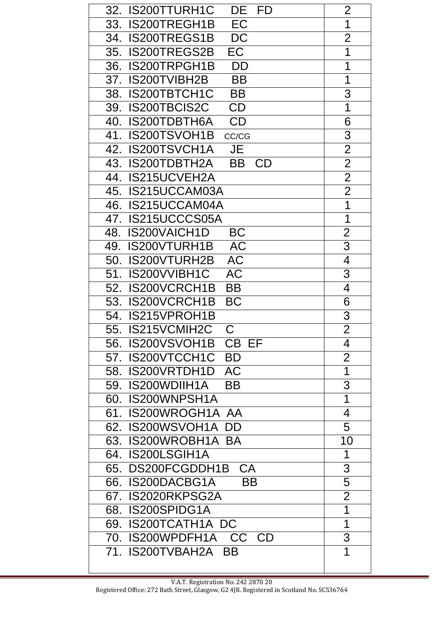| IS200TTURH1C<br>DE<br>32.<br>FD            | 2                        |
|--------------------------------------------|--------------------------|
| EC<br><b>IS200TREGH1B</b><br>33.           | 1                        |
| <b>DC</b><br>34. IS200TREGS1B              | $\overline{2}$           |
| <b>EC</b><br><b>IS200TREGS2B</b><br>35.    | 1                        |
| IS200TRPGH1B<br><b>DD</b><br>36.           | 1                        |
| 37. IS200TVIBH2B<br><b>BB</b>              | 1                        |
| IS200TBTCH1C<br><b>BB</b><br>38.           | 3                        |
| IS200TBCIS2C<br>CD<br>39.                  | 1                        |
| CD<br>40. IS200TDBTH6A                     | 6                        |
| 41. IS200TSVOH1B<br>CC/CG                  | 3                        |
| 42.<br><b>IS200TSVCH1A</b><br><b>JE</b>    | $\overline{2}$           |
| 43. IS200TDBTH2A<br><b>BB</b><br><b>CD</b> | $\overline{2}$           |
| 44. IS215UCVEH2A                           | $\overline{2}$           |
| 45. IS215UCCAM03A                          | $\overline{2}$           |
| 46. IS215UCCAM04A                          | $\overline{\mathbf{1}}$  |
| 47.<br>IS215UCCCS05A                       | 1                        |
| 48. IS200VAICH1D<br><b>BC</b>              | $\overline{2}$           |
| <b>AC</b><br>IS200VTURH1B<br>49.           | $\overline{3}$           |
| <b>AC</b><br>50.<br>IS200VTURH2B           | $\overline{4}$           |
| <b>AC</b><br>IS200VVIBH1C<br>51.           | 3                        |
| IS200VCRCH1B<br>52.<br><b>BB</b>           | $\overline{\mathcal{A}}$ |
| <b>BC</b><br>53.<br><b>IS200VCRCH1B</b>    | 6                        |
| 54.<br>IS215VPROH1B                        | 3                        |
| 55. IS215VCMIH2C<br>С                      | $\overline{2}$           |
| 56. IS200VSVOH1B<br>CB EF                  | 4                        |
| IS200VTCCH1C<br><b>BD</b><br>57.           | $\overline{2}$           |
| 58. IS200VRTDH1D AC                        | $\overline{\mathbf{1}}$  |
| 59. IS200WDIIH1A<br><b>BB</b>              | $\overline{3}$           |
| IS200WNPSH1A<br>60.                        | $\overline{1}$           |
| 61. IS200WROGH1A AA                        | $\overline{\mathcal{A}}$ |
| 62. IS200WSVOH1A<br><b>DD</b>              | 5                        |
| 63. IS200WROBH1A BA                        | 10                       |
| 64. IS200LSGIH1A                           | 1                        |
| 65. DS200FCGDDH1B CA                       | 3                        |
| 66. IS200DACBG1A<br><b>BB</b>              | $\overline{5}$           |
| 67. IS2020RKPSG2A                          | $\overline{2}$           |
| 68. IS200SPIDG1A                           | $\overline{1}$           |
| 69. IS200TCATH1A DC                        | $\overline{1}$           |
| 70. IS200WPDFH1A<br>CC CD                  | 3                        |
| 71. IS200TVBAH2A BB                        | 1                        |
|                                            |                          |

┑